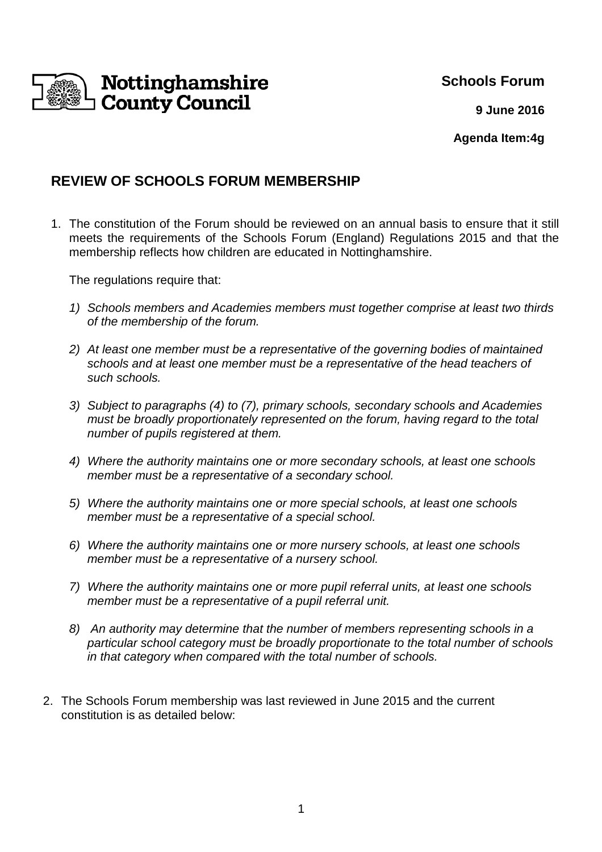

**Schools Forum** 

**9 June 2016**

**Agenda Item:4g**

## **REVIEW OF SCHOOLS FORUM MEMBERSHIP**

1. The constitution of the Forum should be reviewed on an annual basis to ensure that it still meets the requirements of the Schools Forum (England) Regulations 2015 and that the membership reflects how children are educated in Nottinghamshire.

The regulations require that:

- 1) Schools members and Academies members must together comprise at least two thirds of the membership of the forum.
- 2) At least one member must be a representative of the governing bodies of maintained schools and at least one member must be a representative of the head teachers of such schools.
- 3) Subject to paragraphs (4) to (7), primary schools, secondary schools and Academies must be broadly proportionately represented on the forum, having regard to the total number of pupils registered at them.
- 4) Where the authority maintains one or more secondary schools, at least one schools member must be a representative of a secondary school.
- 5) Where the authority maintains one or more special schools, at least one schools member must be a representative of a special school.
- 6) Where the authority maintains one or more nursery schools, at least one schools member must be a representative of a nursery school.
- 7) Where the authority maintains one or more pupil referral units, at least one schools member must be a representative of a pupil referral unit.
- 8) An authority may determine that the number of members representing schools in a particular school category must be broadly proportionate to the total number of schools in that category when compared with the total number of schools.
- 2. The Schools Forum membership was last reviewed in June 2015 and the current constitution is as detailed below: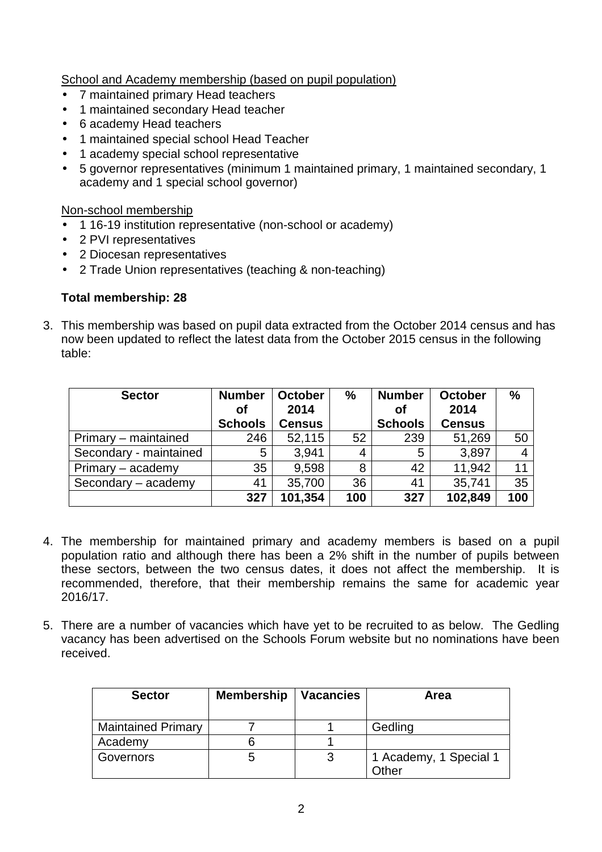School and Academy membership (based on pupil population)

- 7 maintained primary Head teachers
- 1 maintained secondary Head teacher
- 6 academy Head teachers
- 1 maintained special school Head Teacher
- 1 academy special school representative
- 5 governor representatives (minimum 1 maintained primary, 1 maintained secondary, 1 academy and 1 special school governor)

Non-school membership

- 1 16-19 institution representative (non-school or academy)
- 2 PVI representatives
- 2 Diocesan representatives
- 2 Trade Union representatives (teaching & non-teaching)

#### **Total membership: 28**

3. This membership was based on pupil data extracted from the October 2014 census and has now been updated to reflect the latest data from the October 2015 census in the following table:

| <b>Sector</b>          | <b>Number</b><br>Οf | <b>October</b><br>2014 | $\frac{9}{6}$ | <b>Number</b><br>Οf | October<br>2014 | $\%$ |
|------------------------|---------------------|------------------------|---------------|---------------------|-----------------|------|
|                        | <b>Schools</b>      | <b>Census</b>          |               | <b>Schools</b>      | <b>Census</b>   |      |
| Primary – maintained   | 246                 | 52,115                 | 52            | 239                 | 51,269          | 50   |
| Secondary - maintained | 5                   | 3.941                  | 4             | 5                   | 3,897           | 4    |
| Primary - academy      | 35                  | 9,598                  | 8             | 42                  | 11,942          | 11   |
| Secondary - academy    | 41                  | 35,700                 | 36            | 41                  | 35,741          | 35   |
|                        | 327                 | 101,354                | 100           | 327                 | 102,849         | 100  |

- 4. The membership for maintained primary and academy members is based on a pupil population ratio and although there has been a 2% shift in the number of pupils between these sectors, between the two census dates, it does not affect the membership. It is recommended, therefore, that their membership remains the same for academic year 2016/17.
- 5. There are a number of vacancies which have yet to be recruited to as below. The Gedling vacancy has been advertised on the Schools Forum website but no nominations have been received.

| <b>Sector</b>             | <b>Membership</b> | <b>Vacancies</b> | Area                                   |
|---------------------------|-------------------|------------------|----------------------------------------|
| <b>Maintained Primary</b> |                   |                  | Gedling                                |
| Academy                   |                   |                  |                                        |
| Governors                 | G                 | 3                | 1 Academy, 1 Special 1<br><b>Other</b> |